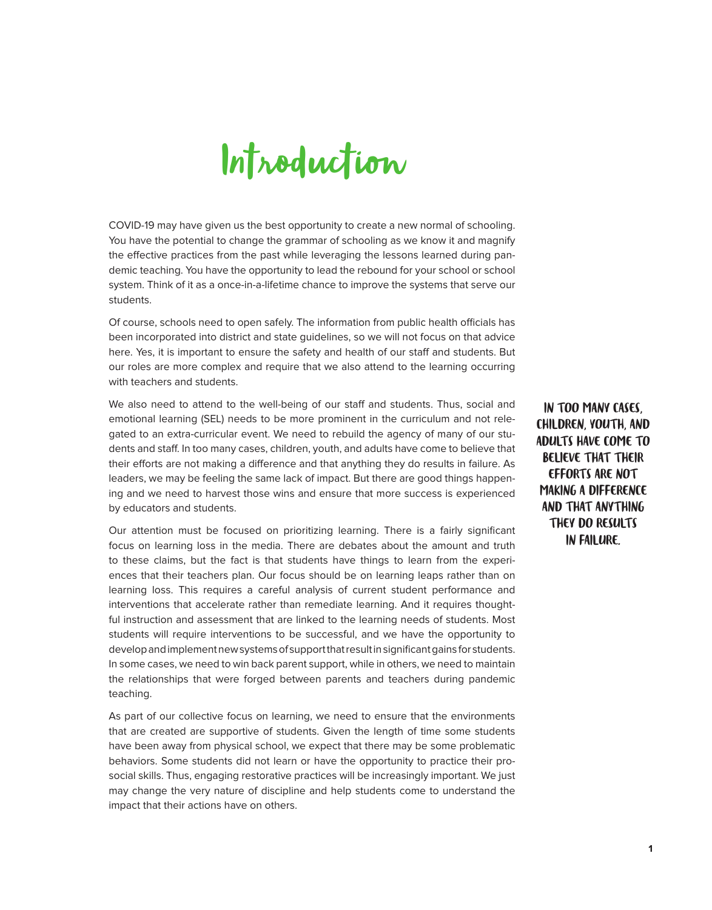

COVID-19 may have given us the best opportunity to create a new normal of schooling. You have the potential to change the grammar of schooling as we know it and magnify the effective practices from the past while leveraging the lessons learned during pandemic teaching. You have the opportunity to lead the rebound for your school or school system. Think of it as a once-in-a-lifetime chance to improve the systems that serve our students.

Of course, schools need to open safely. The information from public health officials has been incorporated into district and state guidelines, so we will not focus on that advice here. Yes, it is important to ensure the safety and health of our staff and students. But our roles are more complex and require that we also attend to the learning occurring with teachers and students.

We also need to attend to the well-being of our staff and students. Thus, social and emotional learning (SEL) needs to be more prominent in the curriculum and not relegated to an extra-curricular event. We need to rebuild the agency of many of our students and staff. In too many cases, children, youth, and adults have come to believe that their efforts are not making a difference and that anything they do results in failure. As leaders, we may be feeling the same lack of impact. But there are good things happening and we need to harvest those wins and ensure that more success is experienced by educators and students.

Our attention must be focused on prioritizing learning. There is a fairly significant focus on learning loss in the media. There are debates about the amount and truth to these claims, but the fact is that students have things to learn from the experiences that their teachers plan. Our focus should be on learning leaps rather than on learning loss. This requires a careful analysis of current student performance and interventions that accelerate rather than remediate learning. And it requires thoughtful instruction and assessment that are linked to the learning needs of students. Most students will require interventions to be successful, and we have the opportunity to develop and implement new systems of support that result in significant gains for students. In some cases, we need to win back parent support, while in others, we need to maintain the relationships that were forged between parents and teachers during pandemic teaching.

As part of our collective focus on learning, we need to ensure that the environments that are created are supportive of students. Given the length of time some students have been away from physical school, we expect that there may be some problematic behaviors. Some students did not learn or have the opportunity to practice their prosocial skills. Thus, engaging restorative practices will be increasingly important. We just may change the very nature of discipline and help students come to understand the impact that their actions have on others.

IN TOO MANY CASES, CHILDREN, YOUTH, AND ADULTS HAVE COME TO BELIEVE THAT THEIR EFFORTS ARE NOT MAKING A DIFFERENCE AND THAT ANYTHING THEY DO RESULTS IN FAILURE.